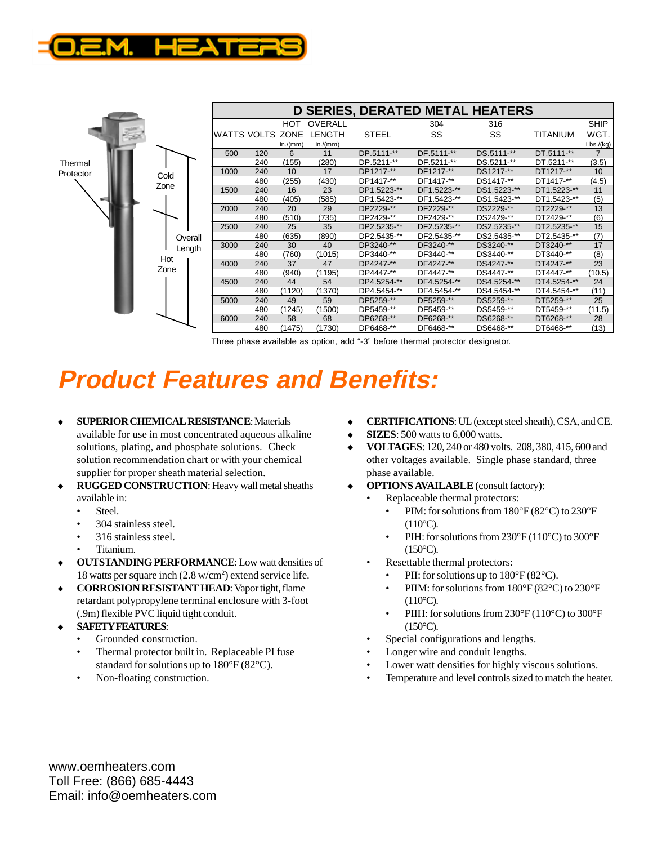

|                      |                   | <b>D SERIES, DERATED METAL HEATERS</b> |     |            |         |              |             |             |             |                |
|----------------------|-------------------|----------------------------------------|-----|------------|---------|--------------|-------------|-------------|-------------|----------------|
|                      |                   |                                        |     | <b>HOT</b> | OVERALL |              | 304         | 316         |             | <b>SHIP</b>    |
|                      |                   | WATTS VOLTS ZONE                       |     |            | LENGTH  | <b>STEEL</b> | SS          | SS          | TITANIUM    | WGT.           |
|                      |                   |                                        |     | ln/(mm)    | ln/(mm) |              |             |             |             | Lbs./(kg)      |
| Thermal<br>Protector |                   | 500                                    | 120 | 6          | 11      | DP.5111-**   | DF.5111-**  | DS.5111-**  | DT.5111-**  | $\overline{7}$ |
|                      |                   |                                        | 240 | (155)      | (280)   | DP.5211-**   | DF.5211-**  | DS.5211-**  | DT.5211-**  | (3.5)          |
|                      | Cold              | 1000                                   | 240 | 10         | 17      | DP1217-**    | DF1217-**   | DS1217-**   | DT1217-**   | 10             |
|                      | Zone              |                                        | 480 | (255)      | (430)   | DP1417-**    | DF1417-**   | DS1417-**   | DT1417-**   | (4.5)          |
|                      |                   | 1500                                   | 240 | 16         | 23      | DP1.5223-**  | DF1.5223-** | DS1.5223-** | DT1.5223-** | 11             |
|                      |                   |                                        | 480 | (405)      | (585)   | DP1.5423-**  | DF1.5423-** | DS1.5423-** | DT1.5423-** | (5)            |
|                      |                   | 2000                                   | 240 | 20         | 29      | DP2229-**    | DF2229-**   | DS2229-**   | DT2229-**   | 13             |
|                      |                   |                                        | 480 | (510)      | (735)   | DP2429-**    | DF2429-**   | DS2429-**   | DT2429-**   | (6)            |
|                      |                   | 2500                                   | 240 | 25         | 35      | DP2.5235-**  | DF2.5235-** | DS2.5235-** | DT2.5235-** | 15             |
|                      | Overall<br>Length |                                        | 480 | (635)      | (890)   | DP2.5435-**  | DF2.5435-** | DS2.5435-** | DT2.5435-** | (7)            |
|                      |                   | 3000                                   | 240 | 30         | 40      | DP3240-**    | DF3240-**   | DS3240-**   | DT3240-**   | 17             |
|                      | Hot               |                                        | 480 | (760)      | (1015)  | DP3440-**    | DF3440-**   | DS3440-**   | DT3440-**   | (8)            |
|                      |                   | 4000                                   | 240 | 37         | 47      | DP4247-**    | DF4247-**   | DS4247-**   | DT4247-**   | 23             |
|                      | Zone              |                                        | 480 | (940)      | (1195)  | DP4447-**    | DF4447-**   | DS4447-**   | DT4447-**   | (10.5)         |
|                      |                   | 4500                                   | 240 | 44         | 54      | DP4.5254-**  | DF4.5254-** | DS4.5254-** | DT4.5254-** | 24             |
|                      |                   |                                        | 480 | (1120)     | (1370)  | DP4.5454-**  | DF4.5454-** | DS4.5454-** | DT4.5454-** | (11)           |
|                      |                   | 5000                                   | 240 | 49         | 59      | DP5259-**    | DF5259-**   | DS5259-**   | DT5259-**   | 25             |
|                      |                   |                                        | 480 | (1245)     | (1500)  | DP5459-**    | DF5459-**   | DS5459-**   | DT5459-**   | (11.5)         |
|                      |                   | 6000                                   | 240 | 58         | 68      | DP6268-**    | DF6268-**   | DS6268-**   | DT6268-**   | 28             |
|                      |                   |                                        | 480 | (1475)     | (1730)  | DP6468-**    | DF6468-**   | DS6468-**   | DT6468-**   | (13)           |

Three phase available as option, add "-3" before thermal protector designator.

## **Product Features and Benefits:**

- **SUPERIOR CHEMICAL RESISTANCE: Materials**
- available for use in most concentrated aqueous alkaline solutions, plating, and phosphate solutions. Check solution recommendation chart or with your chemical supplier for proper sheath material selection.
- **RUGGED CONSTRUCTION:** Heavy wall metal sheaths available in:
	- Steel.
	- 304 stainless steel.
	- 316 stainless steel.
	- Titanium.
- **OUTSTANDING PERFORMANCE:** Low watt densities of 18 watts per square inch (2.8 w/cm2 ) extend service life.
- **CORROSION RESISTANT HEAD:** Vapor tight, flame retardant polypropylene terminal enclosure with 3-foot (.9m) flexible PVC liquid tight conduit.
- **SAFETY FEATURES:** 
	- Grounded construction.
	- Thermal protector built in. Replaceable PI fuse standard for solutions up to 180°F (82°C).
	- Non-floating construction.
- <sup>u</sup> **CERTIFICATIONS**: UL (except steel sheath), CSA, and CE.
- $\blacklozenge$  **SIZES**: 500 watts to 6,000 watts.
- <sup>u</sup> **VOLTAGES**: 120, 240 or 480 volts. 208, 380, 415, 600 and other voltages available. Single phase standard, three phase available.
- **OPTIONS AVAILABLE** (consult factory):
	- Replaceable thermal protectors:
		- PIM: for solutions from 180°F (82°C) to 230°F  $(110^{\circ}C).$
		- PIH: for solutions from 230°F (110°C) to 300°F  $(150^{\circ}C)$ .
	- Resettable thermal protectors:
		- PII: for solutions up to  $180^{\circ}F(82^{\circ}C)$ .
		- PIIM: for solutions from 180°F (82°C) to 230°F  $(110^{\circ}C)$ .
		- PIIH: for solutions from 230°F (110°C) to 300°F  $(150^{\circ}C).$
	- Special configurations and lengths.
	- Longer wire and conduit lengths.
	- Lower watt densities for highly viscous solutions.
	- Temperature and level controls sized to match the heater.

7010 Lindsay Dr. • Mentor, OH 44060 U.S.A. • **Eastern US/CN: 800-621-1998 •** 440-946-9500 • Fax: 440-974-9561 Toll Free: (866) 685-4443 1991 Whitney Mesa Dr. • Henderson, NV 89014 U.S.A. • **Western US/CN: 800-621-1999 •** 702-450-7910 • Fax: 702-450-7912 Email: info@oemheaters.com $s.$  COM  $s.$  E-mail:  $i$   $s.$  The set of  $\mathbb{R}$  information  $s$  information  $s$ www.oemheaters.com